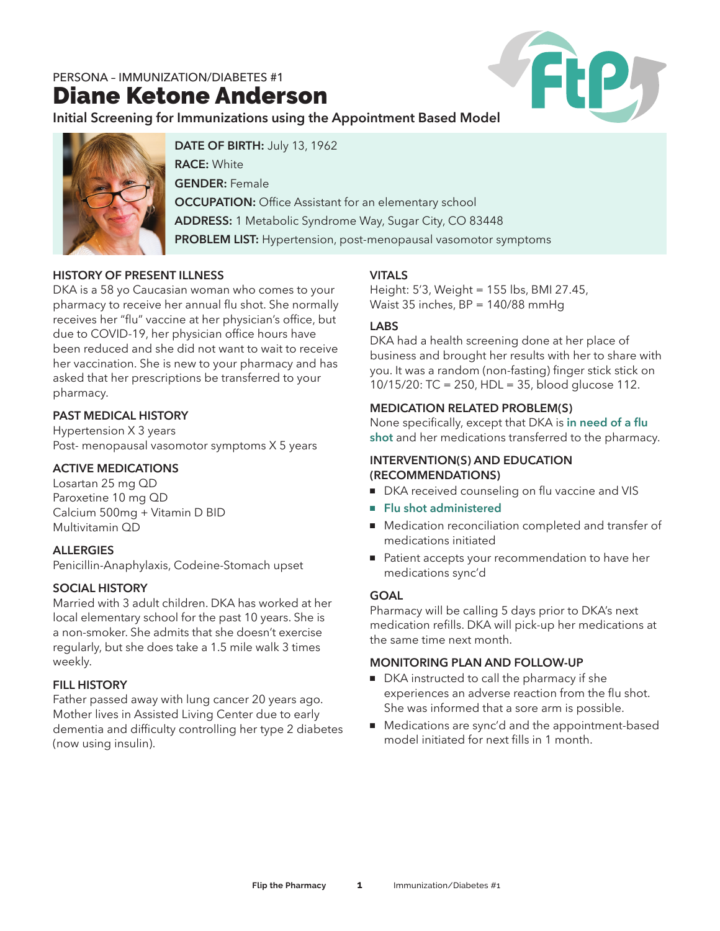Diane Ketone Anderson



**Initial Screening for Immunizations using the Appointment Based Model**



**DATE OF BIRTH:** July 13, 1962 **RACE:** White **GENDER:** Female **OCCUPATION:** Office Assistant for an elementary school **ADDRESS:** 1 Metabolic Syndrome Way, Sugar City, CO 83448 **PROBLEM LIST:** Hypertension, post-menopausal vasomotor symptoms

# **HISTORY OF PRESENT ILLNESS**

DKA is a 58 yo Caucasian woman who comes to your pharmacy to receive her annual flu shot. She normally receives her "flu" vaccine at her physician's office, but due to COVID-19, her physician office hours have been reduced and she did not want to wait to receive her vaccination. She is new to your pharmacy and has asked that her prescriptions be transferred to your pharmacy.

# **PAST MEDICAL HISTORY**

Hypertension X 3 years Post- menopausal vasomotor symptoms X 5 years

## **ACTIVE MEDICATIONS**

Losartan 25 mg QD Paroxetine 10 mg QD Calcium 500mg + Vitamin D BID Multivitamin QD

# **ALLERGIES**

Penicillin-Anaphylaxis, Codeine-Stomach upset

## **SOCIAL HISTORY**

Married with 3 adult children. DKA has worked at her local elementary school for the past 10 years. She is a non-smoker. She admits that she doesn't exercise regularly, but she does take a 1.5 mile walk 3 times weekly.

# **FILL HISTORY**

Father passed away with lung cancer 20 years ago. Mother lives in Assisted Living Center due to early dementia and difficulty controlling her type 2 diabetes (now using insulin).

# **VITALS**

Height: 5'3, Weight = 155 lbs, BMI 27.45, Waist 35 inches, BP = 140/88 mmHg

# **LABS**

DKA had a health screening done at her place of business and brought her results with her to share with you. It was a random (non-fasting) finger stick stick on 10/15/20: TC = 250, HDL = 35, blood glucose 112.

## **MEDICATION RELATED PROBLEM(S)**

None specifically, except that DKA is **in need of a flu shot** and her medications transferred to the pharmacy.

#### **INTERVENTION(S) AND EDUCATION (RECOMMENDATIONS)**

- DKA received counseling on flu vaccine and VIS
- **Flu shot administered**
- Medication reconciliation completed and transfer of medications initiated
- Patient accepts your recommendation to have her medications sync'd

## **GOAL**

Pharmacy will be calling 5 days prior to DKA's next medication refills. DKA will pick-up her medications at the same time next month.

## **MONITORING PLAN AND FOLLOW-UP**

- **n** DKA instructed to call the pharmacy if she experiences an adverse reaction from the flu shot. She was informed that a sore arm is possible.
- Medications are sync'd and the appointment-based model initiated for next fills in 1 month.